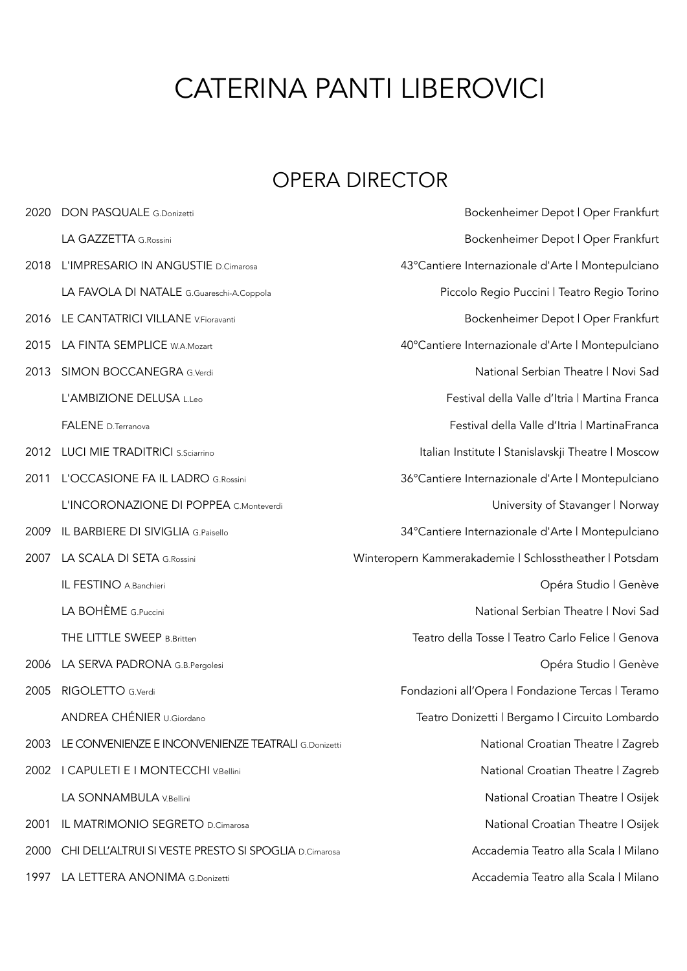## CATERINA PANTI LIBEROVICI

## OPERA DIRECTOR

2020 DON PASQUALE G.Donizetti Bockenheimer Depot | Oper Frankfurt LA GAZZETTA G.Rossini and the settlement of the Bockenheimer Depot | Oper Frankfurt 2018 L'IMPRESARIO IN ANGUSTIE D.Cimarosa del componente del 43°Cantiere Internazionale d'Arte | Montepulciano LA FAVOLA DI NATALE G.Guareschi-A.Coppola Piccolo Regio Puccini | Teatro Regio Torino 2016 LE CANTATRICI VILLANE V.Fioravanti **Bockenheimer Depot | Oper Frankfurt** 2015 LA FINTA SEMPLICE W.A.Mozart 40°Cantiere Internazionale d'Arte | Montepulciano 2013 SIMON BOCCANEGRA G.verdi National Serbian Theatre | Novi Sad L'AMBIZIONE DELUSA L.Leo Festival della Valle d'Itria | Martina Franca FALENE D.Terranova Festival della Valle d'Itria | MartinaFranca 2012 LUCI MIE TRADITRICI S.Sciarrino **Italian Institute | Stanislavskji Theatre | Moscow** 2011 L'OCCASIONE FA IL LADRO G.Rossini 36°Cantiere Internazionale d'Arte | Montepulciano L'INCORONAZIONE DI POPPEA C.Monteverdi **University of Stavanger | Norway** 2009 IL BARBIERE DI SIVIGLIA G.Paisello 34°Cantiere Internazionale d'Arte | Montepulciano 2007 LA SCALA DI SETA G.Rossini Winteropern Kammerakademie | Schlosstheather | Potsdam IL FESTINO A.Banchieri **Carlos Company and Carlos Company and Company and Company and Company Opéra Studio | Genève** LA BOHÈME G.Puccini National Serbian Theatre | Novi Sad THE LITTLE SWEEP B.Britten Teatro della Tosse | Teatro Carlo Felice | Genova 2006 LA SERVA PADRONA G.B.Pergolesi Opéra Studio | Genève 2005 RIGOLETTO G.Verdi Fondazioni all'Opera | Fondazione Tercas | Teramo ANDREA CHÉNIER U.Giordano Teatro Donizetti | Bergamo | Circuito Lombardo 2003 LE CONVENIENZE E INCONVENIENZE TEATRALI G.Donizetti National Croatian Theatre | Zagreb 2002 I CAPULETI E I MONTECCHI V.Bellini National Croatian Theatre I Zagreb LA SONNAMBULA V.Bellini National Croatian Theatre | Osijek 2001 IL MATRIMONIO SEGRETO D.Cimarosa National Croatian Theatre | Osijek 2000 CHI DELL'ALTRUI SI VESTE PRESTO SI SPOGLIA D.Cimarosa anno 1999 — Accademia Teatro alla Scala | Milano 1997 LA LETTERA ANONIMA G.Donizetti Accademia Teatro alla Scala | Milano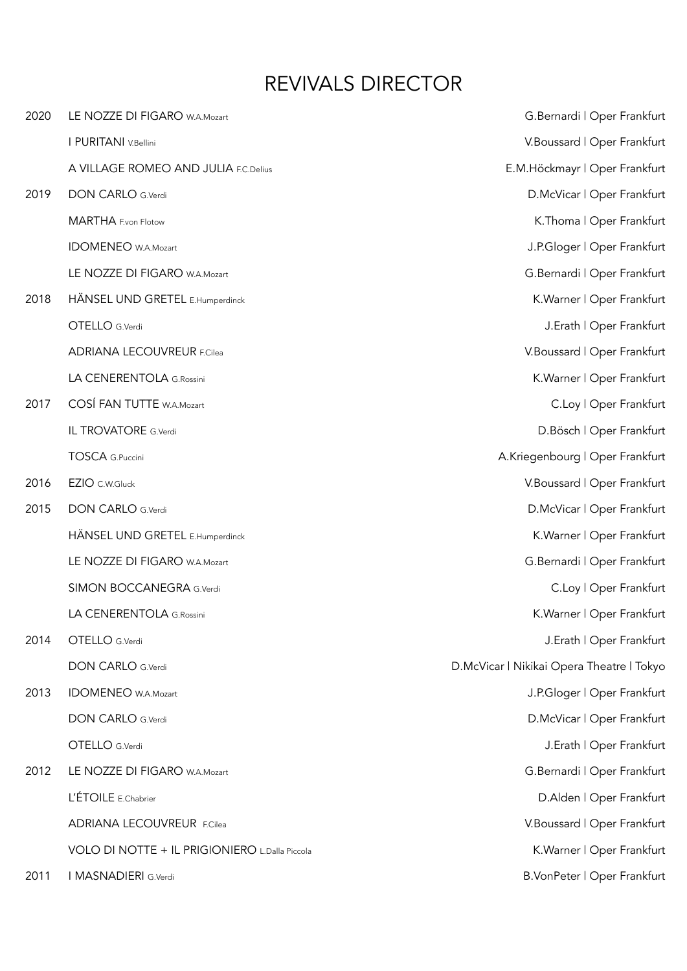## REVIVALS DIRECTOR

| 2020 | LE NOZZE DI FIGARO W.A.Mozart                  | G.Bernardi   Oper Frankfurt               |
|------|------------------------------------------------|-------------------------------------------|
|      | I PURITANI V.Bellini                           | V.Boussard   Oper Frankfurt               |
|      | A VILLAGE ROMEO AND JULIA F.C.Delius           | E.M.Höckmayr   Oper Frankfurt             |
| 2019 | <b>DON CARLO G.Verdi</b>                       | D.McVicar   Oper Frankfurt                |
|      | MARTHA F.von Flotow                            | K.Thoma   Oper Frankfurt                  |
|      | <b>IDOMENEO</b> W.A.Mozart                     | J.P.Gloger   Oper Frankfurt               |
|      | LE NOZZE DI FIGARO W.A.Mozart                  | G.Bernardi   Oper Frankfurt               |
| 2018 | HÄNSEL UND GRETEL E.Humperdinck                | K. Warner   Oper Frankfurt                |
|      | OTELLO G.Verdi                                 | J.Erath   Oper Frankfurt                  |
|      | <b>ADRIANA LECOUVREUR F.Cilea</b>              | V. Boussard   Oper Frankfurt              |
|      | LA CENERENTOLA G.Rossini                       | K. Warner   Oper Frankfurt                |
| 2017 | COSÍ FAN TUTTE W.A.Mozart                      | C.Loy   Oper Frankfurt                    |
|      | IL TROVATORE G.Verdi                           | D.Bösch   Oper Frankfurt                  |
|      | <b>TOSCA</b> G.Puccini                         | A.Kriegenbourg   Oper Frankfurt           |
| 2016 | EZIO C.W.Gluck                                 | V. Boussard   Oper Frankfurt              |
| 2015 | <b>DON CARLO G.Verdi</b>                       | D.McVicar   Oper Frankfurt                |
|      | HÄNSEL UND GRETEL E.Humperdinck                | K. Warner   Oper Frankfurt                |
|      | LE NOZZE DI FIGARO W.A.Mozart                  | G.Bernardi   Oper Frankfurt               |
|      | SIMON BOCCANEGRA G.Verdi                       | C.Loy   Oper Frankfurt                    |
|      | LA CENERENTOLA G.Rossini                       | K. Warner   Oper Frankfurt                |
| 2014 | OTELLO G.Verdi                                 | J.Erath   Oper Frankfurt                  |
|      | <b>DON CARLO G.Verdi</b>                       | D.McVicar   Nikikai Opera Theatre   Tokyo |
| 2013 | <b>IDOMENEO</b> W.A.Mozart                     | J.P.Gloger   Oper Frankfurt               |
|      | <b>DON CARLO G.Verdi</b>                       | D.McVicar   Oper Frankfurt                |
|      | OTELLO G.Verdi                                 | J.Erath   Oper Frankfurt                  |
| 2012 | LE NOZZE DI FIGARO W.A.Mozart                  | G.Bernardi   Oper Frankfurt               |
|      | L'ÉTOILE E.Chabrier                            | D.Alden   Oper Frankfurt                  |
|      | <b>ADRIANA LECOUVREUR F.Cilea</b>              | V.Boussard   Oper Frankfurt               |
|      | VOLO DI NOTTE + IL PRIGIONIERO L.Dalla Piccola | K. Warner   Oper Frankfurt                |
| 2011 | I MASNADIERI G.Verdi                           | B.VonPeter   Oper Frankfurt               |